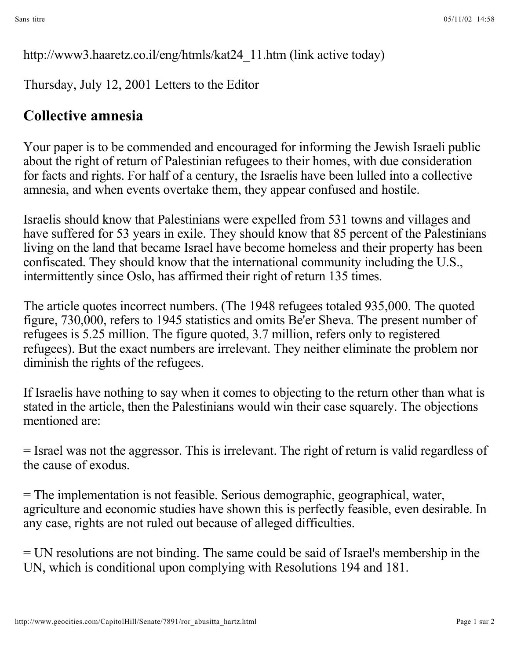http://www3.haaretz.co.il/eng/htmls/kat24\_11.htm (link active today)

Thursday, July 12, 2001 Letters to the Editor

## **Collective amnesia**

Your paper is to be commended and encouraged for informing the Jewish Israeli public about the right of return of Palestinian refugees to their homes, with due consideration for facts and rights. For half of a century, the Israelis have been lulled into a collective amnesia, and when events overtake them, they appear confused and hostile.

Israelis should know that Palestinians were expelled from 531 towns and villages and have suffered for 53 years in exile. They should know that 85 percent of the Palestinians living on the land that became Israel have become homeless and their property has been confiscated. They should know that the international community including the U.S., intermittently since Oslo, has affirmed their right of return 135 times.

The article quotes incorrect numbers. (The 1948 refugees totaled 935,000. The quoted figure, 730,000, refers to 1945 statistics and omits Be'er Sheva. The present number of refugees is 5.25 million. The figure quoted, 3.7 million, refers only to registered refugees). But the exact numbers are irrelevant. They neither eliminate the problem nor diminish the rights of the refugees.

If Israelis have nothing to say when it comes to objecting to the return other than what is stated in the article, then the Palestinians would win their case squarely. The objections mentioned are:

= Israel was not the aggressor. This is irrelevant. The right of return is valid regardless of the cause of exodus.

= The implementation is not feasible. Serious demographic, geographical, water, agriculture and economic studies have shown this is perfectly feasible, even desirable. In any case, rights are not ruled out because of alleged difficulties.

= UN resolutions are not binding. The same could be said of Israel's membership in the UN, which is conditional upon complying with Resolutions 194 and 181.